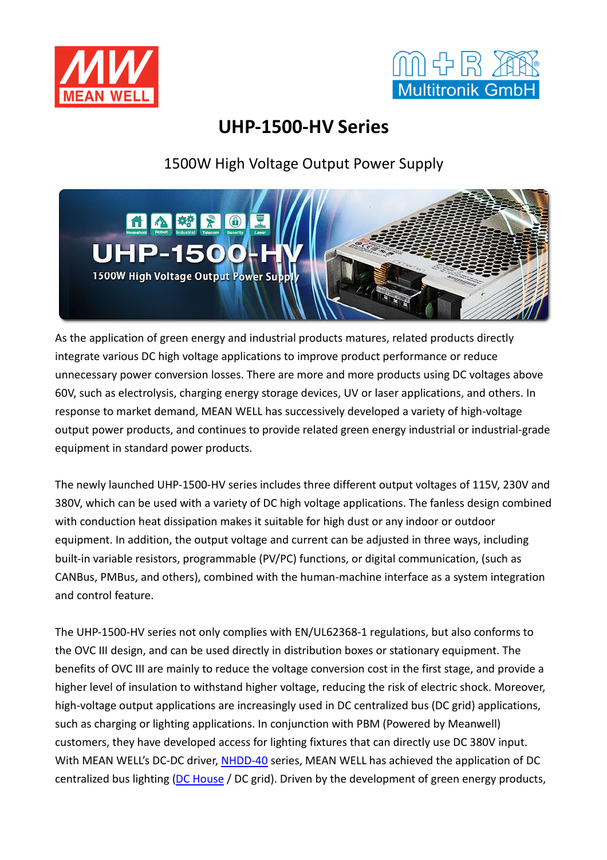



## **UHP-1500-HV Series**

1500W High Voltage Output Power Supply



As the application of green energy and industrial products matures, related products directly integrate various DC high voltage applications to improve product performance or reduce unnecessary power conversion losses. There are more and more products using DC voltages above 60V, such as electrolysis, charging energy storage devices, UV or laser applications, and others. In response to market demand, MEAN WELL has successively developed a variety of high-voltage output power products, and continues to provide related green energy industrial or industrial-grade equipment in standard power products.

The newly launched UHP-1500-HV series includes three different output voltages of 115V, 230V and 380V, which can be used with a variety of DC high voltage applications. The fanless design combined with conduction heat dissipation makes it suitable for high dust or any indoor or outdoor equipment. In addition, the output voltage and current can be adjusted in three ways, including built-in variable resistors, programmable (PV/PC) functions, or digital communication, (such as CANBus, PMBus, and others), combined with the human-machine interface as a system integration and control feature.

The UHP-1500-HV series not only complies with EN/UL62368-1 regulations, but also conforms to the OVC III design, and can be used directly in distribution boxes or stationary equipment. The benefits of OVC III are mainly to reduce the voltage conversion cost in the first stage, and provide a higher level of insulation to withstand higher voltage, reducing the risk of electric shock. Moreover, high-voltage output applications are increasingly used in DC centralized bus (DC grid) applications, such as charging or lighting applications. In conjunction with PBM (Powered by Meanwell) customers, they have developed access for lighting fixtures that can directly use DC 380V input. With MEAN WELL's DC-DC driver, NHDD-40 series, MEAN WELL has achieved the application of DC centralized bus lighting (DC House / DC grid). Driven by the development of green energy products,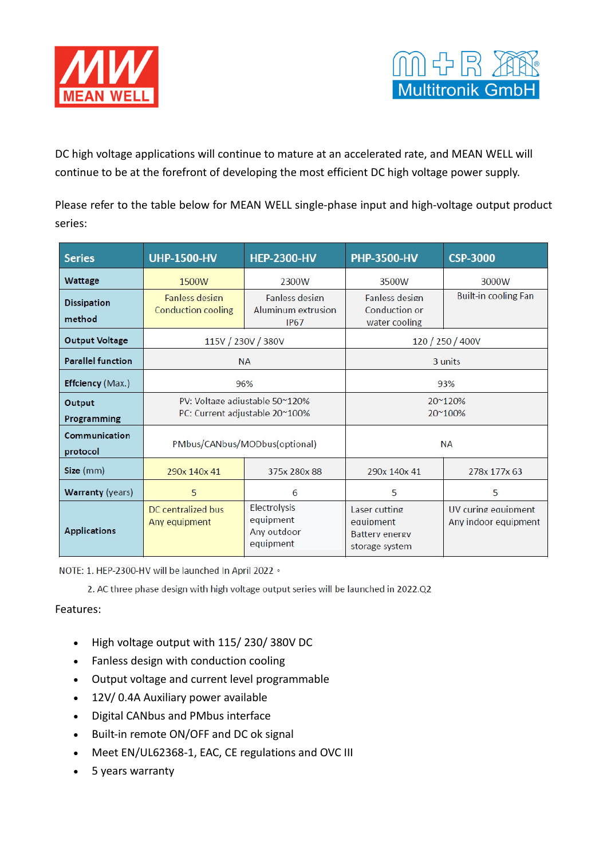



DC high voltage applications will continue to mature at an accelerated rate, and MEAN WELL will continue to be at the forefront of developing the most efficient DC high voltage power supply.

Please refer to the table below for MEAN WELL single-phase input and high-voltage output product series:

| <b>Series</b>                | <b>UHP-1500-HV</b>                                               | <b>HEP-2300-HV</b>                                         | <b>PHP-3500-HV</b>                                                    | <b>CSP-3000</b>                             |
|------------------------------|------------------------------------------------------------------|------------------------------------------------------------|-----------------------------------------------------------------------|---------------------------------------------|
| Wattage                      | 1500W                                                            | 2300W                                                      | 3500W                                                                 | 3000W                                       |
| <b>Dissipation</b><br>method | Fanless design<br><b>Conduction cooling</b>                      | Fanless design<br><b>Aluminum extrusion</b><br><b>IP67</b> | Fanless design<br>Conduction or<br>water cooling                      | Built-in cooling Fan                        |
| <b>Output Voltage</b>        | 115V / 230V / 380V                                               |                                                            | 120 / 250 / 400V                                                      |                                             |
| <b>Parallel function</b>     | <b>NA</b>                                                        |                                                            | 3 units                                                               |                                             |
| Effciency (Max.)             | 96%                                                              |                                                            | 93%                                                                   |                                             |
| Output<br>Programming        | PV: Voltage adjustable 50~120%<br>PC: Current adjustable 20~100% |                                                            | 20~120%<br>20~100%                                                    |                                             |
| Communication<br>protocol    | PMbus/CANbus/MODbus(optional)                                    |                                                            | <b>NA</b>                                                             |                                             |
| Size (mm)                    | 290x 140x 41                                                     | 375x 280x 88                                               | 290x 140x 41                                                          | 278x 177x 63                                |
| <b>Warranty (years)</b>      | 5                                                                | 6                                                          | 5                                                                     | 5                                           |
| <b>Applications</b>          | DC centralized bus<br>Any equipment                              | Electrolysis<br>equipment<br>Any outdoor<br>equipment      | Laser cutting<br>equipment<br><b>Battery energy</b><br>storage system | UV curing equipment<br>Any indoor equipment |

NOTE: 1. HEP-2300-HV will be launched In April 2022 .

2. AC three phase design with high voltage output series will be launched in 2022.Q2

## Features:

- High voltage output with 115/230/380V DC
- Fanless design with conduction cooling
- Output voltage and current level programmable
- 12V/ 0.4A Auxiliary power available
- Digital CANbus and PMbus interface
- Built-in remote ON/OFF and DC ok signal
- Meet EN/UL62368-1, EAC, CE regulations and OVC III
- 5 years warranty